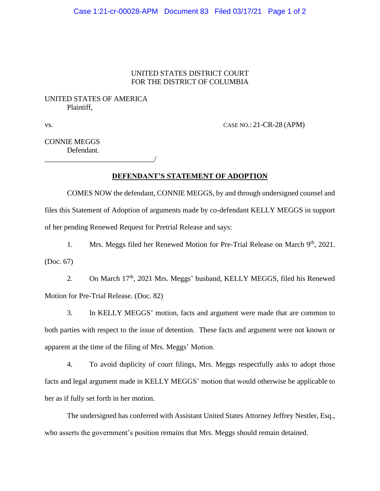#### Case 1:21-cr-00028-APM Document 83 Filed 03/17/21 Page 1 of 2

### UNITED STATES DISTRICT COURT FOR THE DISTRICT OF COLUMBIA

## UNITED STATES OF AMERICA Plaintiff,

\_\_\_\_\_\_\_\_\_\_\_\_\_\_\_\_\_\_\_\_\_\_\_\_\_\_\_\_\_\_/

vs. CASE NO.: 21-CR-28 (APM)

## CONNIE MEGGS Defendant.

#### **DEFENDANT'S STATEMENT OF ADOPTION**

COMES NOW the defendant, CONNIE MEGGS, by and through undersigned counsel and files this Statement of Adoption of arguments made by co-defendant KELLY MEGGS in support of her pending Renewed Request for Pretrial Release and says:

1. Mrs. Meggs filed her Renewed Motion for Pre-Trial Release on March 9<sup>th</sup>, 2021. (Doc. 67)

2. On March 17<sup>th</sup>, 2021 Mrs. Meggs' husband, KELLY MEGGS, filed his Renewed Motion for Pre-Trial Release. (Doc. 82)

3. In KELLY MEGGS' motion, facts and argument were made that are common to both parties with respect to the issue of detention. These facts and argument were not known or apparent at the time of the filing of Mrs. Meggs' Motion.

4. To avoid duplicity of court filings, Mrs. Meggs respectfully asks to adopt those facts and legal argument made in KELLY MEGGS' motion that would otherwise be applicable to her as if fully set forth in her motion.

The undersigned has conferred with Assistant United States Attorney Jeffrey Nestler, Esq., who asserts the government's position remains that Mrs. Meggs should remain detained.